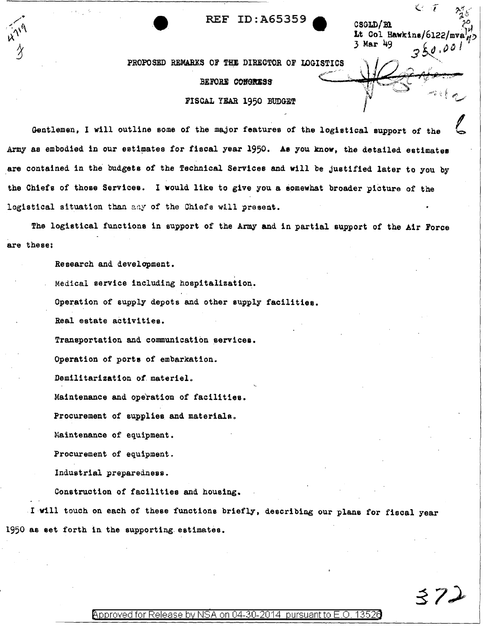**c**<br> **c i** *c*<sub> $\alpha^a_{\mu}$ <sup>5</sup><sup> $\alpha^a_{\mu}$ </sup>, **c c** *c*<sup>*o*</sup><sub>*i*</sub><sup>o</sup><sub>*i*</sub></sub> *c*<sub>*i*</sub><sup>*o*</sup><sub>*i*</sub><sup>o</sup><sub>*i*</sub></sub>

Lt Col Hawkins/6122 $\overline{a}$ 3 Mar 49

ミフノ

PROPOSED REMARKS OF THE DIRECTOR OF LOGISTICS BEFORE CONGRESS FISCAL YEAR 1950 BUDGET

Gentlemen, I will outline some of the major features of the logistical support of the Army as embodied in our estimates for fiscal year 1950. As you know, the detailed estimates are contained in the budgets of the Technical Services and will be Justified later to you by the Chiefs of those Services. I would like to give you a somewhat broader picture of the logistical situation than any of the Chiefs will present.

The logistical functions in support of the Army and in partial support of the Air Force are these:

Research and development.

Medical service including hospitalization.

Operation of supply depots and other supply facilities.

Real estate activities.

Transportation and communication servicea.

Operation of ports of embarkation.

Demilitarization *of.* materiel.

Maintenance and operation of facilities.

Procurement of supplies and materials.

Maintenance of equipment.

Procurement of equipment.

Industrial preparedness.

Construction of facilities and housing.

I will touch on each of these functions briefly, describing our plans for fiscal year 1950 as set forth in the supporting.estimates.

@'pproved for Release by NSA on 04-30-2014 pursuantto E.O. 1352a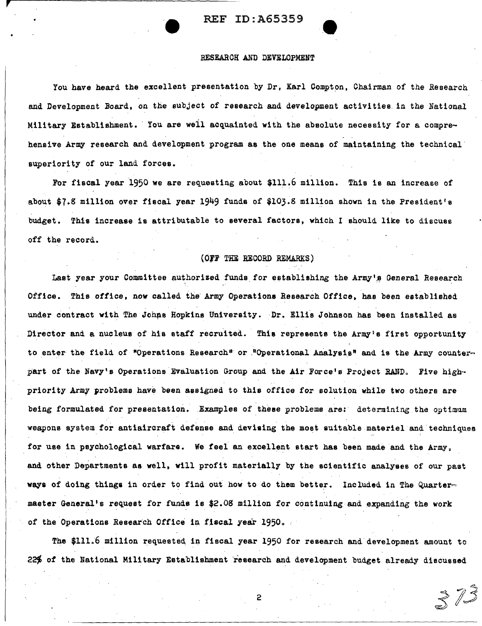REF ID:A65359 **.e** 

## .RESEARCH AND DEVELOPMENT

You have heard the excellent presentation by Dr. Karl Compton. Chairman of the Research and Development Board, on the subject *of* research and development activities in the National Military Establishment. You are well acquainted with the absolute necessity for a comprehensive Army research and development program as the one means of maintaining the technical superiority *ot* our land forces •

For fiscal year 1950 we are requesting about \$111.6 million. This is an increase of about \$7.8 million over fiscal year 1949 funds of \$103.8 million shown in the President's budget. This increase is attributable to several factors, which I should like to discuss off the record.

#### (OFF THE RECORD REMARKS)

Last year your Committee authorized funds for establishing the Army's General Research Office. This office, now called the Army Operations Research Office, has been established under contract with The Johns Hopkins University. Dr. Ellis Johnson has been installed as Director and a nucleus of his staff recruited. This represents the Army's first opportunity to enter the field of "Operations Research" or "Operational Analysis" and is the Army counterpart of the Navy's Operations Evaluation Group and the Air Force's Project RAND. Five highpriority Army problems have been assigned to this office for solution while two others are being formulated for presentation. Examples of these problems are: determining the optimum weapons system for antiaircraft defense and deviaing the most auitable materiel and techniques for use in psychological warfare. We feel an excellent start has been made and the Army. and other Departments as well, will profit materially by the scientific analyses of our past ways of doing things in order to find out how to do them better. Included in The Quartermaster Generaits request for funds is \$2.08 million *tor* continuing and expanding the work of the Operations Research Office in fiscal year 1950.

The \$111.6 million requested in fiscal year 1950 for research and development amount to 22% of the National Military Establishment research and development budget already discussed

2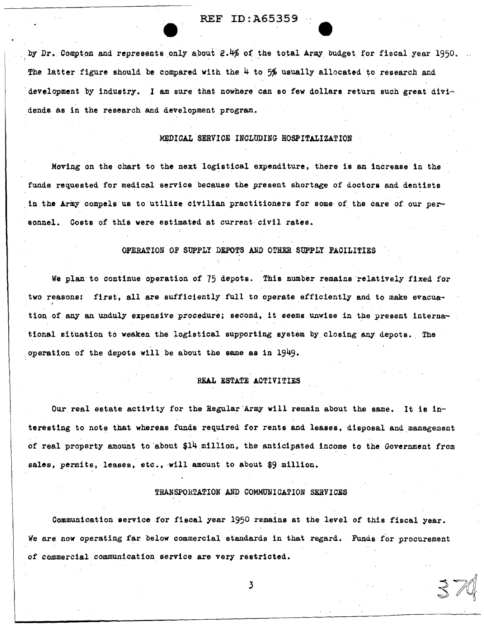## REF. ID: A65359

by Dr. Compton and represents only about 2.4% of the total Army budget for fiscal year 1950. The latter figure should be compared with the  $4$  to 5% usually allocated to research and development by industry. I am sure that nowhere can so few dollars return such great dividends as in the research and development program.

### *MEDICAL* SERVICE INCLUDING HOSPITALIZATION

Moving on the chart to the next logistical expenditure, there is an increase in the funds requested for medical service because the present shortage of doctors and dentists in the Army compels us to utilize civilian practitioners for some of the care of our personnel. Costs of this were estimated at current civil rates.

#### OPERATION OF SUPPLY DEPOTS AND OTHER SUPPLY FACILITIES

We plan to continue operation of 75 depots. This number remains relatively fixed for two reasons: first, all are sufficiently full to operate efficiently and to make evacuation of any an unduly expensive procedure; second, it seems unwise in the present international situation to weaken the logistical supporting system by closing any depots. The , . . operation of the depots will be about the same as in 1949.

## REAL ESTATE ACTIVITIES

Our real estate activity for the Regular Army will remain about the same. It is interesting to note that whereas funds required for rents and leases, disposal and management of real property amount to about  $$14$  million, the anticipated income to the Government from sales, permits, leases, etc., will amount to about \$9 million.

## TRANSPORTATION AND COMMUNICATION SERVICES

Communication aervice for fiscal year 1950 remains at the level *of* this fiscal year. *We* are now operating far below commercial standards in that regard. Funds for procurement of commercial communication service are very restricted.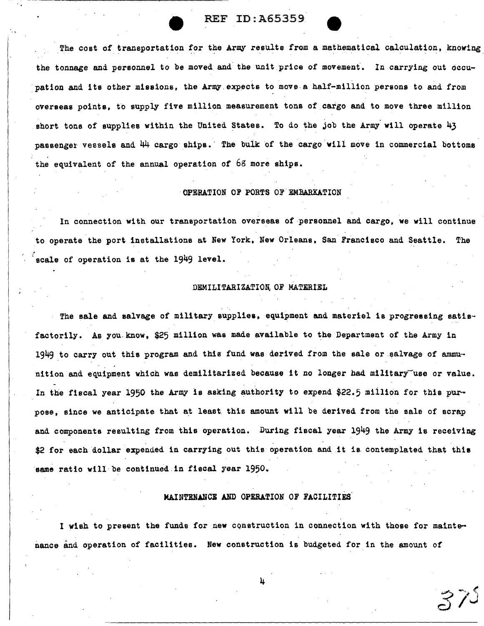

The cost of transportation for the Army results from a mathematical calculation, knowing the tonnage and personnel to be moved and the unit price of movement. In carrying out occupation and its other missions, the Army expects to move a half-million persons to and from overseas points, to supply five million measurement tons of cargo and to move three million short tone of supplies within the United States. To do the job the Army will operate  $43$ passenger vessels and  $44$  cargo ships. The bulk of the cargo will move in commercial bottoms the equivalent of the annual operation of 68 more ships.

## OPERATION OF PORTS OF EMBARKATION

, In connection with our transportation overseas of personnel and cargo, we will continue to operate the port installations at New York, New Orleans, San Francisco and Seattle. The scale of operation is at the 1949 level.

## DEMILITARIZATION, OF MATERIEL

The sale and salvage of military supplies, equipment and materiel is progressing satisfactorily. As you.know, \$25 million was made available to the Department of the Army in 1949 to carry out this program and this fund was derived from the sale or salvage of ammunition and equipment which was demilitarized because it no longer had military use or value. In the fiscal year 1950 the Army is asking authority to expend \$22.5 miilion for this purpose, since we anticipate that at least this amount will be derived from the sale of scrap and components resulting from this operation. During fiscal year 1949 the Army is receiving \$2 for each dollar expended in carrying out this operation and it is contemplated that this same ratio will be continued in fiscal year 1950.

## MAINTENANCE AND OPERATION OF FACILITIES

I wish to present the funds for new construction in connection with those for maintenance and operation of facilities. New construction is budgeted for in the amount of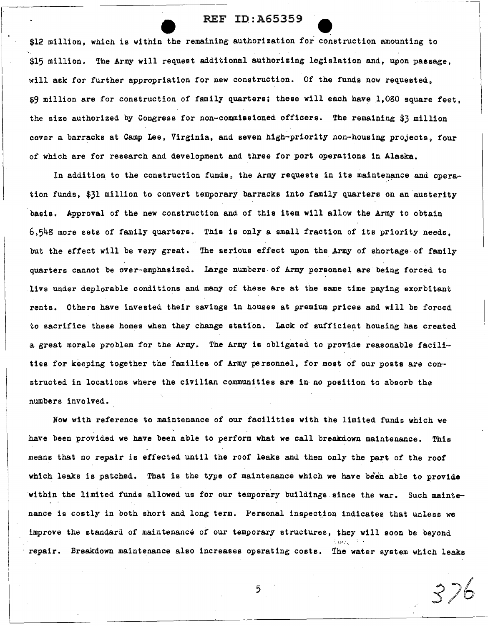r· I

> \$12 million, which is within the remaining authorization for construction amounting to ... \$15 million. The Army will request additional authorizing legislation and, upon passage, will ask for further appropriation for new construction. Of the funds now requested, \$9 million are for construction of family quarters; these will each have 1,080 square feet, the size authorized by Congress for non-commissioned officers. The remaining \$3 million cover a barracks at Camp Lee, Virginia, and seven high-priority non-housing projects, four of which are for research and development and three for port operations in Alaska.

> In addition to the construction funds, the Army requests in its maintenance and operation funds, \$31 million to convert temporary barracks into family quarters on an austerity basis. Approval of the new construction and of this item will allow the Army to obtain  $6,548$  more sets of family quarters. This is only a small fraction of its priority needs, but the effect will be very great. The serious effect upon the Army of shortage of family quarters cannot be over-emphasized. Large numbers. of Army personnel are being forced to .live under deplorable conditions and many of these are at the same time paying exorbitant rents. Others have invested their savings in houses at premium prices and will be forced to sacrifice these homes when they change station. Lack of sufficient housing has created a great morale problem for the Army. The Army is obligated to provide reasonable facilities for keeping together the families of Army personnel, for most of our posts are constructed in locations where the civilian communities are in no position to absorb the numbers involved.

Now with reference to maintenance of our facilities with the limited funds which we have been provided we have been able to perform what we call breakdown maintenance. This means that no repair is effected until the roof leaks and then only the part of the roof which leaks is patched. That is the type of maintenance which we have been able to provide within the limited funds allowed us for our temporary buildings since the war. Such maintenance is costly in both short and long term. Personal inspection indicates that unless we improve the standard of maintenance of our temporary structures, they will soon be beyond repair. Breakdown maintenance also increases operating costs. The water system which leaks

5

/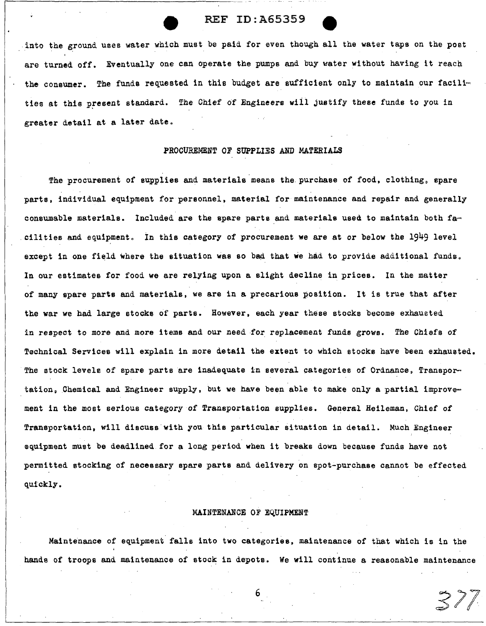into the ground uses water which must be paid for even though all the water taps on the post are turned off. Eventually one can operate the pumps and buy water without having it reach the consumer. The funds requested in this budget are sufficient only to maintain our facilities at this present standard. The Chief of Engineers will justify these funds to you in greater detail at a later date.

### PROCUREMENT *OF* SUPPLIES AND MATERIALS

The procurement of supplies and materials means the purchase of food, clothing, spare parts, individual equipment for personnel, material for maintenance and repair and generally consumable materials. Included are the spare parts and materials used to maintain both fa-.cilities and equipment. In this category of procurement we are at or below the 1949 level except in one field where the situation was so bad that we had to provide additional funds. In our estimates for food we are relying upon a slight decline in prices. In the matter of many spare parts and materials, we are in a precarious position. It is true that after the war we had large stocks of parts. However, each year these stocks become exhausted in respect to more and more items and our need for replacement funds grows. The Chiefs of Technical Services will explain in more detail the extent to which stocks have been exhausted. The stock levels of spare parts are inadequate in several categories of Ordnance, Transpor-tation, Chemical and Engineer supply, but we have been able to make only a partial improvement in the most serious category of Transportation supplies. General Heileman, Chief *of*  Transportation, will discuss with you this particular situation in detail. Much Engineer equipment must be deadlined for a long period when it breaks down because funds have not permitted stocking of necessary spare parts and delivery on spot-purchase cannot be effected quickly.

## MAINTENANCE OF EQUIPMENT

Maintenance of equipment falls into two categories, maintenance of that which is in the hands of troops and maintenance of stock in depots. We will continue a reasonable maintenance

371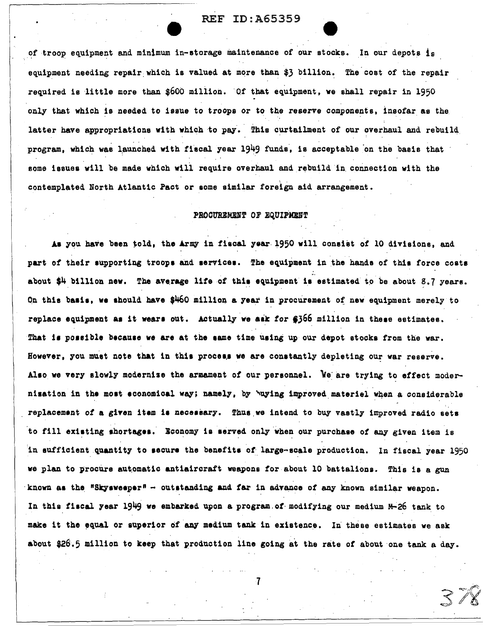of troop equipment and minimum in-storage maintenance of our stocks. In our depots is equipment needing repair which is valued at more than \$3 billion. The cost of the repair required is little more than  $$600$  million. Of that equipment, we shall repair in 1950 only that which is needed to issue to troops or to the reserve components, insofar as the. latter have appropriations with which to pay. This curtailment of our overhaul and rebuild program, which was launched with fiscal year  $1949$  funds, is acceptable on the basis that some issues will be made which will require overhaul and rebuild in connection with the contemplated North Atlantic Pact or some similar foreign aid arrangement •

## PROCUREMENT OF EQUIPMENT

As you have been told, the Army in fiscal year 1950 will consist of 10 divisions, and part of their supporting troops and services. The equipment in the hands of this force costs .. . about  $$4$  billion new. The average life of this equipment is estimated to be about 8.7 years. On this basis, we should have  $$460$  million a year in procurement of new equipment merely to replace equipment as it wears out. Actually we ask for  $$366$  million in these estimates. That is possible because we are at the same time using up our depot stocks from the war. However, you must note that in this process we are constantly depleting our war reserve. Also we very slowly modernize the armament of our personnel. We are trying to effect modernisation in the most economical way; namely, by ~uying improved materiel when a considerable replacement of a given item is necessary. Thus we intend to buy vastly improved radio sets to fill existing shortages. Economy is served only when our purchase of any given item is in sufficient quantity to secure the benefits of large-scale production. In fiscal year 1950 we plan to procure automatic antiaircraft weapons for about 10 battalions. This is a gun  $\cdot$ known as the "Skysweeper" - outstanding and far in advance of any known similar weapon. In this fiscal year  $1949$  we embarked upon a program.of modifying our medium  $M-26$  tank to make it the equal or superior of any medium tank in existence. In these estimates we ask about \$26.5 million to keep that production line going at the rate of about one tank a day.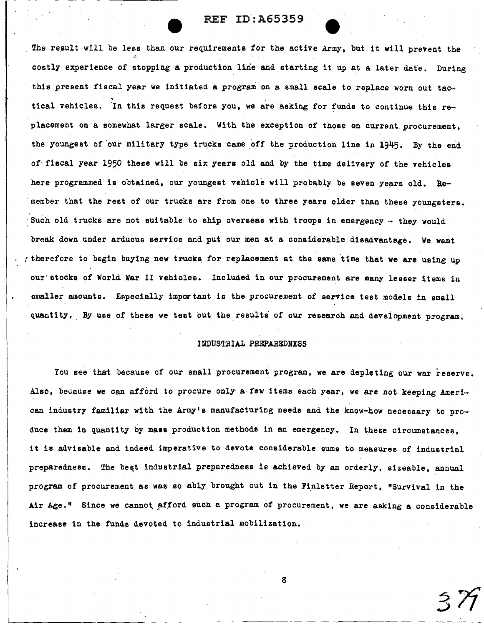The result will be less than our requirements for the active Army, but it will prevent the costly experience of stopping a production line and starting it up at a later date. During this present fiscal year we initiated a program on a small scale to replace worn out tactical vehicles. In this request before you, we are asking for funds to continue this replacement on a somewhat larger scale. With the exception of those on current procurement. the youngest of our military type trucks came off the production line in 1945. By the end of· fiscal year 1950 these will be six years old and by the time delivery of the vehicles here programmed is obtained, our youngest vehicle will probably be seven years old. Remember that the rest of our trucks are from one to three years older than these youngsters. Such old trucks are not suitable to ship overseas with troops in emergency - they would break down under arduous service and put our men at a considerable disadvantage. We want therefore to begin buying new trucks for replacement at the same time that we are using up our· stocks of World War II vehicles. Included in our procurement are many lesser items in smaller amounts. Especially important is the procurement of service test models in small quantity. By use of these we test out the results of our research and development program.

## INDUSTRIAL PREPAREDNESS

You see that because of our small procurement program, we are depleting our war reserve. Also, because we can afford to procure only a few items each year, we are not keeping American industry familiar with the Army's manufacturing needs and the know-how necessary to produce them in quantity by mass production methods in an emergency. In these circumstances. it is advisable and indeed imperative to devote considerable sums to measures of industrial preparedness. The beat industrial preparedness is achieved by an orderly, sizeable, annual program of procurement as was so ably brought out in the Finletter Report, "Survival in the Air Age." Since we cannot afford such a program of procurement, we are asking a considerable increase in the funds devoted to industrial mobilization.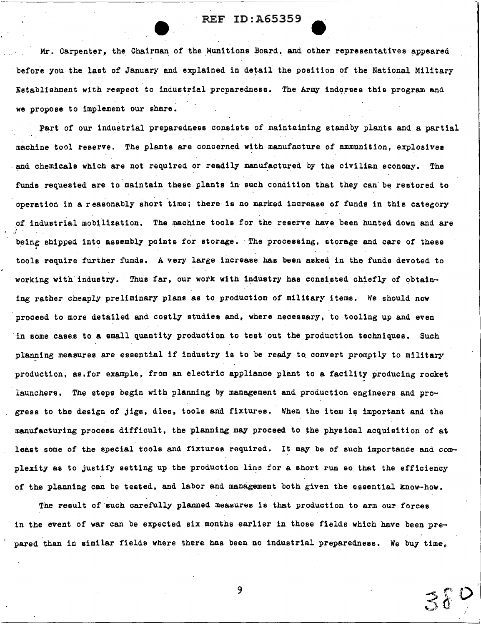Mr. Carpenter, the Chairman of the Munitions Board. and other representatives appeared before you the last of January and explained in detail the position of the National Military Establishment with respect to industrial preparedness. The Army indorses this program and we propose to implement our share.

Part of our industrial preparedness consists of maintaining standby plants and a partial machine tool reserve. The plants are concerned with manufacture of ammunition, explosives . and chemicals which are not required or readily manufactured by the civilian economy. The funds requested are to maintain these plants in such condition that they can be restored to operation in a reasonably short time; there is no marked increase of funds in this category of industrial mobilization. The machine tools for the reserve have been hunted down and are being shipped into assembly points for storage. ·.The processing, storage and care *ot* these tools require further funds •. A very large increase has been asked in the funds devoted to working with industry. Thus far, our work with industry has consisted chiefly of obtaining rather cheaply preliminary plans as to production *of* military items. We should now proceed to more detailed and costly studies and, where necessary. to tooling up and even in some cases to a small quantity production to test out the production techniques. Such planning measures are essential if industry is to be ready to convert promptly to military production, as, for example, from an electric appliance plant to a facility producing rocket launchers. The steps begin with planning by management and production engineers and progress to the design of jigs. dies, tools and fixtures. When the item is important and·the manutacturing process difficult, the planning may proceed to the physical acquisition of at least some of the special tools and fixtures required. It may be of such importance and complexity as to justify setting up the production line for a short run so that the efficiency of the planning can be tested, and labor and management both given the essential know-how.

The result of such carefully planned measures is that production to arm our forces in the event of war can be expected six months earlier in those fields which have been prepared than in similar fields where there has been no industrial preparedness. We buy time.